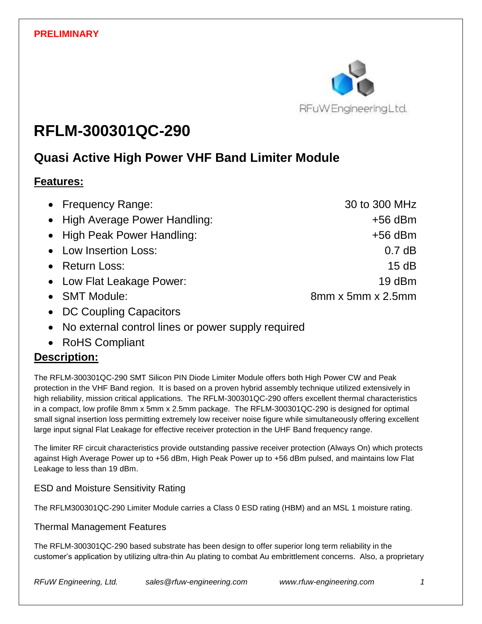

# **RFLM-300301QC-290**

# **Quasi Active High Power VHF Band Limiter Module**

### **Features:**

| • Frequency Range:             | 30 to 300 MHz                 |
|--------------------------------|-------------------------------|
| • High Average Power Handling: | $+56$ dBm                     |
| • High Peak Power Handling:    | $+56$ dBm                     |
| • Low Insertion Loss:          | 0.7 dB                        |
| • Return Loss:                 | 15dB                          |
| • Low Flat Leakage Power:      | $19$ dBm                      |
| • SMT Module:                  | $8mm \times 5mm \times 2.5mm$ |
| DO Osimbre Ospesiters          |                               |

- DC Coupling Capacitors
- No external control lines or power supply required
- RoHS Compliant

# **Description:**

The RFLM-300301QC-290 SMT Silicon PIN Diode Limiter Module offers both High Power CW and Peak protection in the VHF Band region. It is based on a proven hybrid assembly technique utilized extensively in high reliability, mission critical applications. The RFLM-300301QC-290 offers excellent thermal characteristics in a compact, low profile 8mm x 5mm x 2.5mm package. The RFLM-300301QC-290 is designed for optimal small signal insertion loss permitting extremely low receiver noise figure while simultaneously offering excellent large input signal Flat Leakage for effective receiver protection in the UHF Band frequency range.

The limiter RF circuit characteristics provide outstanding passive receiver protection (Always On) which protects against High Average Power up to +56 dBm, High Peak Power up to +56 dBm pulsed, and maintains low Flat Leakage to less than 19 dBm.

#### ESD and Moisture Sensitivity Rating

The RFLM300301QC-290 Limiter Module carries a Class 0 ESD rating (HBM) and an MSL 1 moisture rating.

#### Thermal Management Features

The RFLM-300301QC-290 based substrate has been design to offer superior long term reliability in the customer's application by utilizing ultra-thin Au plating to combat Au embrittlement concerns. Also, a proprietary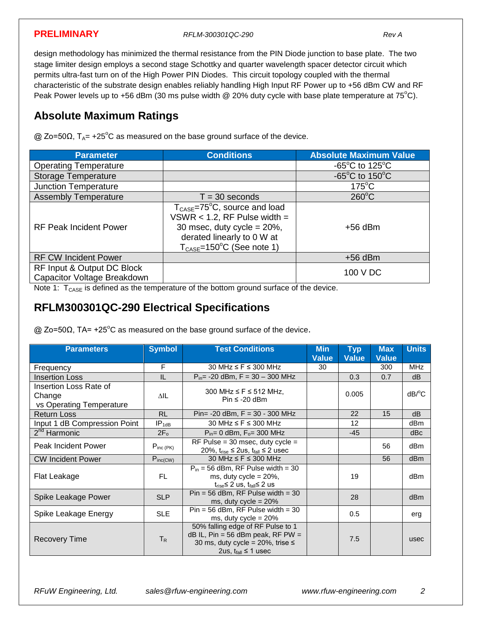**PRELIMINARY** *RFLM-300301QC-290 Rev A*

design methodology has minimized the thermal resistance from the PIN Diode junction to base plate. The two stage limiter design employs a second stage Schottky and quarter wavelength spacer detector circuit which permits ultra-fast turn on of the High Power PIN Diodes. This circuit topology coupled with the thermal characteristic of the substrate design enables reliably handling High Input RF Power up to +56 dBm CW and RF Peak Power levels up to +56 dBm (30 ms pulse width @ 20% duty cycle with base plate temperature at 75°C).

# **Absolute Maximum Ratings**

 $Q$  Zo=50Ω, T<sub>A</sub>= +25<sup>°</sup>C as measured on the base ground surface of the device.

| <b>Parameter</b>                                          | <b>Conditions</b>                                                                                                                                                                                     | <b>Absolute Maximum Value</b>       |
|-----------------------------------------------------------|-------------------------------------------------------------------------------------------------------------------------------------------------------------------------------------------------------|-------------------------------------|
| <b>Operating Temperature</b>                              |                                                                                                                                                                                                       | $-65^{\circ}$ C to 125 $^{\circ}$ C |
| <b>Storage Temperature</b>                                |                                                                                                                                                                                                       | $-65^{\circ}$ C to 150 $^{\circ}$ C |
| <b>Junction Temperature</b>                               |                                                                                                                                                                                                       | $175^{\circ}$ C                     |
| <b>Assembly Temperature</b>                               | $T = 30$ seconds                                                                                                                                                                                      | $260^{\circ}$ C                     |
| <b>RF Peak Incident Power</b>                             | $T_{\text{CASE}} = 75^{\circ}C$ , source and load<br>VSWR $<$ 1.2, RF Pulse width =<br>30 msec, duty cycle = $20\%$ ,<br>derated linearly to 0 W at<br>$T_{\text{CASE}} = 150^{\circ}$ C (See note 1) | $+56$ dBm                           |
| <b>RF CW Incident Power</b>                               |                                                                                                                                                                                                       | $+56$ dBm                           |
| RF Input & Output DC Block<br>Capacitor Voltage Breakdown |                                                                                                                                                                                                       | 100 V DC                            |

Note 1:  $T_{\text{CASE}}$  is defined as the temperature of the bottom ground surface of the device.

#### **RFLM300301QC-290 Electrical Specifications**

 $\omega$  Zo=50Ω, TA= +25°C as measured on the base ground surface of the device.

| <b>Parameters</b>                                            | <b>Symbol</b>     | <b>Test Conditions</b>                                                                                                                               | <b>Min</b><br><b>Value</b> | <b>Typ</b><br><b>Value</b> | <b>Max</b><br><b>Value</b> | <b>Units</b>          |
|--------------------------------------------------------------|-------------------|------------------------------------------------------------------------------------------------------------------------------------------------------|----------------------------|----------------------------|----------------------------|-----------------------|
| Frequency                                                    | F                 | 30 MHz $\leq$ F $\leq$ 300 MHz                                                                                                                       | 30                         |                            | 300                        | <b>MHz</b>            |
| <b>Insertion Loss</b>                                        | IL                | $P_{in}$ = -20 dBm, F = 30 – 300 MHz                                                                                                                 |                            | 0.3                        | 0.7                        | dB                    |
| Insertion Loss Rate of<br>Change<br>vs Operating Temperature | ΔIL               | 300 MHz $\leq$ F $\leq$ 512 MHz,<br>$Pin \le -20$ dBm                                                                                                |                            | 0.005                      |                            | $dB$ <sup>o</sup> $C$ |
| <b>Return Loss</b>                                           | <b>RL</b>         | $Pin = -20$ dBm, $F = 30 - 300$ MHz                                                                                                                  |                            | 22                         | 15                         | dB                    |
| Input 1 dB Compression Point                                 | IP <sub>1dB</sub> | 30 MHz $\leq$ F $\leq$ 300 MHz                                                                                                                       |                            | $12 \overline{ }$          |                            | dBm                   |
| 2 <sup>nd</sup> Harmonic                                     | 2F <sub>o</sub>   | $P_{in} = 0$ dBm, $F_{o} = 300$ MHz                                                                                                                  |                            | $-45$                      |                            | dBc                   |
| <b>Peak Incident Power</b>                                   | $P_{inc(PK)}$     | RF Pulse = $30$ msec, duty cycle =<br>20%, $t_{rise} \le 2$ us, $t_{fall} \le 2$ usec                                                                |                            |                            | 56                         | dBm                   |
| <b>CW Incident Power</b>                                     | $P_{inc(CW)}$     | 30 MHz $\leq$ F $\leq$ 300 MHz                                                                                                                       |                            |                            | 56                         | dB <sub>m</sub>       |
| Flat Leakage                                                 | <b>FL</b>         | $P_{in}$ = 56 dBm, RF Pulse width = 30<br>ms, duty cycle = $20\%$ ,<br>$t_{rise}$ ≤ 2 us, $t_{fall}$ ≤ 2 us                                          |                            | 19                         |                            | dB <sub>m</sub>       |
| Spike Leakage Power                                          | <b>SLP</b>        | $Pin = 56$ dBm, RF Pulse width = 30<br>ms, duty cycle = $20\%$                                                                                       |                            | 28                         |                            | dB <sub>m</sub>       |
| Spike Leakage Energy                                         | <b>SLE</b>        | $Pin = 56$ dBm, RF Pulse width = 30<br>ms, duty cycle = $20\%$                                                                                       |                            | 0.5                        |                            | erg                   |
| Recovery Time                                                | $T_R$             | 50% falling edge of RF Pulse to 1<br>$dB$ IL, Pin = 56 dBm peak, RF PW =<br>30 ms, duty cycle = $20\%$ , trise $\leq$<br>2us, $t_{fall} \leq 1$ usec |                            | 7.5                        |                            | usec                  |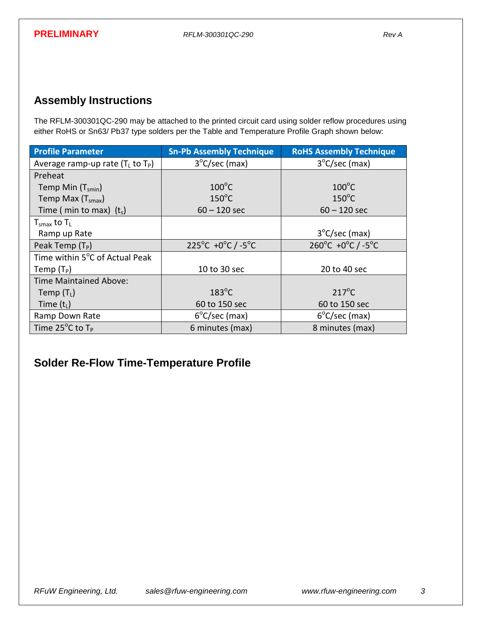# **Assembly Instructions**

The RFLM-300301QC-290 may be attached to the printed circuit card using solder reflow procedures using either RoHS or Sn63/ Pb37 type solders per the Table and Temperature Profile Graph shown below:

| <b>Profile Parameter</b>                              | <b>Sn-Pb Assembly Technique</b> | <b>RoHS Assembly Technique</b>                    |
|-------------------------------------------------------|---------------------------------|---------------------------------------------------|
| Average ramp-up rate $(T_L$ to $T_P$ )                | $3^{\circ}$ C/sec (max)         | $3^{\circ}$ C/sec (max)                           |
| Preheat                                               |                                 |                                                   |
| Temp Min $(T_{smin})$                                 | $100^{\circ}$ C                 | $100^{\circ}$ C                                   |
| Temp Max $(Tsmax)$                                    | $150^{\circ}$ C                 | $150^{\circ}$ C                                   |
| Time ( min to max) $(t_s)$                            | $60 - 120$ sec                  | $60 - 120$ sec                                    |
| ${\mathsf T}_{\sf smax}$ to ${\mathsf T}_{\mathsf L}$ |                                 |                                                   |
| Ramp up Rate                                          |                                 | $3^{\circ}$ C/sec (max)                           |
| Peak Temp $(T_P)$                                     | 225°C +0°C $/$ -5°C             | $260^{\circ}$ C +0 $^{\circ}$ C / -5 $^{\circ}$ C |
| Time within 5°C of Actual Peak                        |                                 |                                                   |
| Temp $(T_P)$                                          | 10 to 30 sec                    | 20 to 40 sec                                      |
| <b>Time Maintained Above:</b>                         |                                 |                                                   |
| Temp $(T_L)$                                          | $183^{\circ}$ C                 | $217^{\circ}$ C                                   |
| Time $(t1)$                                           | 60 to 150 sec                   | 60 to 150 sec                                     |
| Ramp Down Rate                                        | $6^{\circ}$ C/sec (max)         | $6^{\circ}$ C/sec (max)                           |
| Time $25^{\circ}$ C to T <sub>P</sub>                 | 6 minutes (max)                 | 8 minutes (max)                                   |

# **Solder Re-Flow Time-Temperature Profile**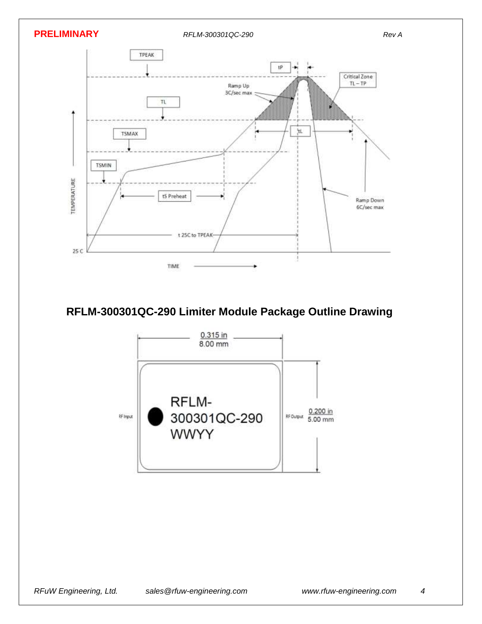

# **RFLM-300301QC-290 Limiter Module Package Outline Drawing**

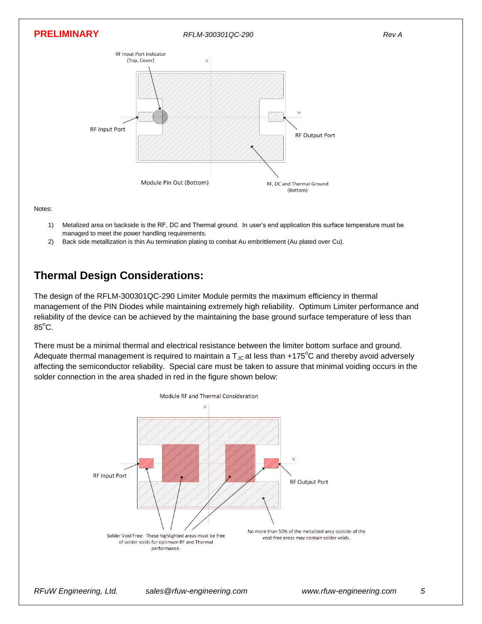

Notes:

- 1) Metalized area on backside is the RF, DC and Thermal ground. In user's end application this surface temperature must be managed to meet the power handling requirements.
- 2) Back side metallization is thin Au termination plating to combat Au embrittlement (Au plated over Cu).

# **Thermal Design Considerations:**

The design of the RFLM-300301QC-290 Limiter Module permits the maximum efficiency in thermal management of the PIN Diodes while maintaining extremely high reliability. Optimum Limiter performance and reliability of the device can be achieved by the maintaining the base ground surface temperature of less than  $85^{\circ}$ C.

There must be a minimal thermal and electrical resistance between the limiter bottom surface and ground. Adequate thermal management is required to maintain a  $T_{\text{JC}}$  at less than +175<sup>o</sup>C and thereby avoid adversely affecting the semiconductor reliability. Special care must be taken to assure that minimal voiding occurs in the solder connection in the area shaded in red in the figure shown below: